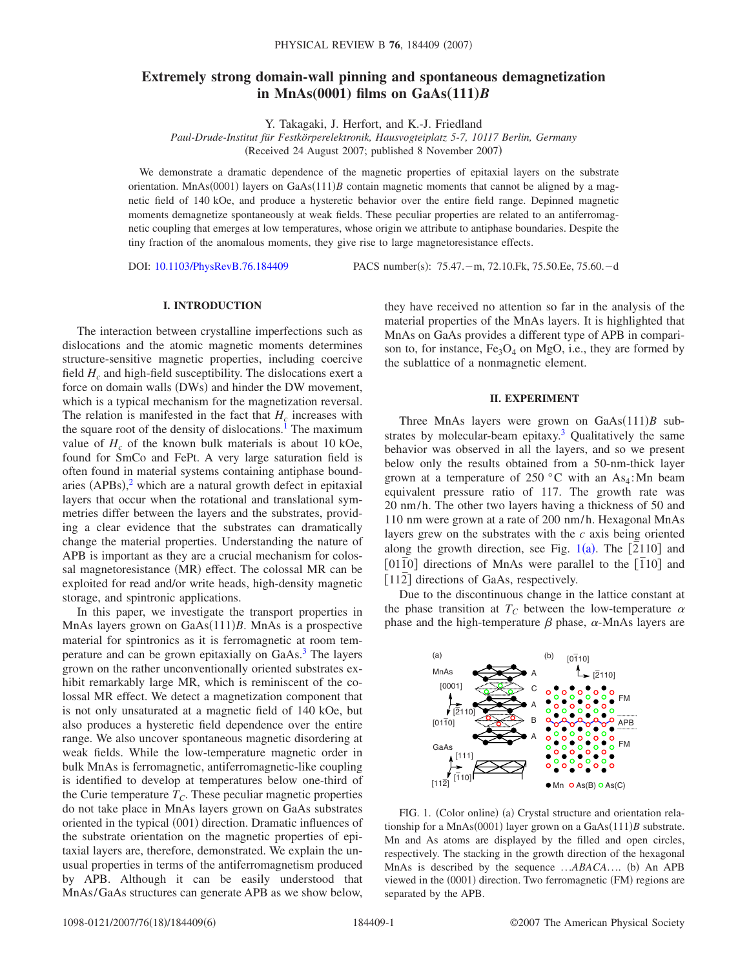# **Extremely strong domain-wall pinning and spontaneous demagnetization** in MnAs $(0001)$  films on GaAs $(111)B$

Y. Takagaki, J. Herfort, and K.-J. Friedland

*Paul-Drude-Institut für Festkörperelektronik, Hausvogteiplatz 5-7, 10117 Berlin, Germany* (Received 24 August 2007; published 8 November 2007)

We demonstrate a dramatic dependence of the magnetic properties of epitaxial layers on the substrate orientation. MnAs(0001) layers on GaAs(111)*B* contain magnetic moments that cannot be aligned by a magnetic field of 140 kOe, and produce a hysteretic behavior over the entire field range. Depinned magnetic moments demagnetize spontaneously at weak fields. These peculiar properties are related to an antiferromagnetic coupling that emerges at low temperatures, whose origin we attribute to antiphase boundaries. Despite the tiny fraction of the anomalous moments, they give rise to large magnetoresistance effects.

DOI: [10.1103/PhysRevB.76.184409](http://dx.doi.org/10.1103/PhysRevB.76.184409)

PACS number(s): 75.47. - m, 72.10.Fk, 75.50.Ee, 75.60. - d

## **I. INTRODUCTION**

The interaction between crystalline imperfections such as dislocations and the atomic magnetic moments determines structure-sensitive magnetic properties, including coercive field  $H_c$  and high-field susceptibility. The dislocations exert a force on domain walls (DWs) and hinder the DW movement, which is a typical mechanism for the magnetization reversal. The relation is manifested in the fact that  $H_c$  increases with the square root of the density of dislocations.<sup>1</sup> The maximum value of  $H_c$  of the known bulk materials is about 10 kOe, found for SmCo and FePt. A very large saturation field is often found in material systems containing antiphase boundaries  $(APBs)$ , which are a natural growth defect in epitaxial layers that occur when the rotational and translational symmetries differ between the layers and the substrates, providing a clear evidence that the substrates can dramatically change the material properties. Understanding the nature of APB is important as they are a crucial mechanism for colossal magnetoresistance (MR) effect. The colossal MR can be exploited for read and/or write heads, high-density magnetic storage, and spintronic applications.

In this paper, we investigate the transport properties in MnAs layers grown on GaAs(111)B. MnAs is a prospective material for spintronics as it is ferromagnetic at room temperature and can be grown epitaxially on GaAs.<sup>3</sup> The layers grown on the rather unconventionally oriented substrates exhibit remarkably large MR, which is reminiscent of the colossal MR effect. We detect a magnetization component that is not only unsaturated at a magnetic field of 140 kOe, but also produces a hysteretic field dependence over the entire range. We also uncover spontaneous magnetic disordering at weak fields. While the low-temperature magnetic order in bulk MnAs is ferromagnetic, antiferromagnetic-like coupling is identified to develop at temperatures below one-third of the Curie temperature  $T_C$ . These peculiar magnetic properties do not take place in MnAs layers grown on GaAs substrates oriented in the typical (001) direction. Dramatic influences of the substrate orientation on the magnetic properties of epitaxial layers are, therefore, demonstrated. We explain the unusual properties in terms of the antiferromagnetism produced by APB. Although it can be easily understood that MnAs/GaAs structures can generate APB as we show below, they have received no attention so far in the analysis of the material properties of the MnAs layers. It is highlighted that MnAs on GaAs provides a different type of APB in comparison to, for instance,  $Fe<sub>3</sub>O<sub>4</sub>$  on MgO, i.e., they are formed by the sublattice of a nonmagnetic element.

## **II. EXPERIMENT**

Three MnAs layers were grown on  $GaAs(111)B$  substrates by molecular-beam epitaxy.<sup>3</sup> Qualitatively the same behavior was observed in all the layers, and so we present below only the results obtained from a 50-nm-thick layer grown at a temperature of 250 °C with an  $As<sub>4</sub>$ : Mn beam equivalent pressure ratio of 117. The growth rate was 20 nm/h. The other two layers having a thickness of 50 and 110 nm were grown at a rate of 200 nm/h. Hexagonal MnAs layers grew on the substrates with the *c* axis being oriented along the growth direction, see Fig. [1](#page-0-0)(a). The [2110] and  $[01\overline{1}0]$  directions of MnAs were parallel to the  $[110]$  and [112<sup>]</sup> directions of GaAs, respectively.

Due to the discontinuous change in the lattice constant at the phase transition at  $T_c$  between the low-temperature  $\alpha$ phase and the high-temperature  $\beta$  phase,  $\alpha$ -MnAs layers are

<span id="page-0-0"></span>

FIG. 1. (Color online) (a) Crystal structure and orientation relationship for a MnAs(0001) layer grown on a GaAs(111)B substrate. Mn and As atoms are displayed by the filled and open circles, respectively. The stacking in the growth direction of the hexagonal MnAs is described by the sequence ... ABACA.... (b) An APB viewed in the (0001) direction. Two ferromagnetic (FM) regions are separated by the APB.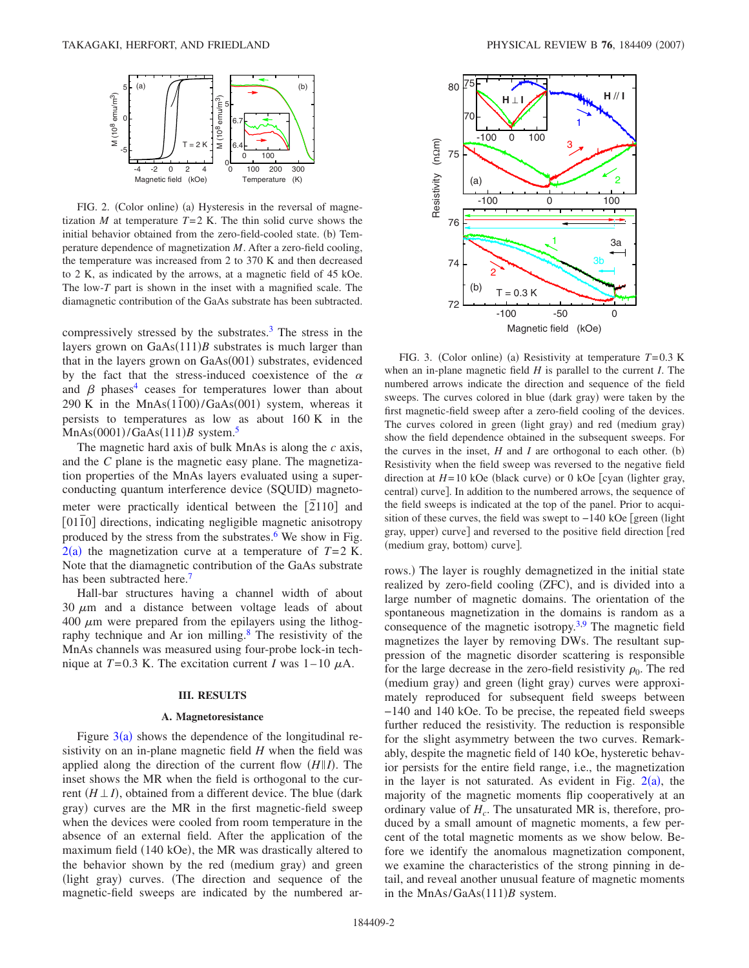<span id="page-1-0"></span>

FIG. 2. (Color online) (a) Hysteresis in the reversal of magnetization *M* at temperature  $T=2$  K. The thin solid curve shows the initial behavior obtained from the zero-field-cooled state. (b) Temperature dependence of magnetization *M*. After a zero-field cooling, the temperature was increased from 2 to 370 K and then decreased to 2 K, as indicated by the arrows, at a magnetic field of 45 kOe. The low-*T* part is shown in the inset with a magnified scale. The diamagnetic contribution of the GaAs substrate has been subtracted.

compressively stressed by the substrates. $3$  The stress in the layers grown on  $GaAs(111)B$  substrates is much larger than that in the layers grown on GaAs(001) substrates, evidenced by the fact that the stress-induced coexistence of the  $\alpha$ and  $\beta$  phases<sup>4</sup> ceases for temperatures lower than about 290 K in the  $MnAs(1\bar{1}00)/GaAs(001)$  system, whereas it persists to temperatures as low as about 160 K in the  $MnAs(0001)/GaAs(111)B$  system.<sup>5</sup>

The magnetic hard axis of bulk MnAs is along the *c* axis, and the *C* plane is the magnetic easy plane. The magnetization properties of the MnAs layers evaluated using a superconducting quantum interference device (SQUID) magnetometer were practically identical between the [2110] and [0110] directions, indicating negligible magnetic anisotropy produced by the stress from the substrates. $6$  We show in Fig.  $2(a)$  $2(a)$  the magnetization curve at a temperature of  $T=2$  K. Note that the diamagnetic contribution of the GaAs substrate has been subtracted here.<sup>7</sup>

Hall-bar structures having a channel width of about  $30 \mu m$  and a distance between voltage leads of about 400  $\mu$ m were prepared from the epilayers using the lithography technique and Ar ion milling.<sup>8</sup> The resistivity of the MnAs channels was measured using four-probe lock-in technique at  $T=0.3$  K. The excitation current *I* was  $1-10 \mu A$ .

# **III. RESULTS**

## **A. Magnetoresistance**

Figure  $3(a)$  $3(a)$  shows the dependence of the longitudinal resistivity on an in-plane magnetic field *H* when the field was applied along the direction of the current flow  $(H||I)$ . The inset shows the MR when the field is orthogonal to the current  $(H \perp I)$ , obtained from a different device. The blue (dark gray) curves are the MR in the first magnetic-field sweep when the devices were cooled from room temperature in the absence of an external field. After the application of the maximum field (140 kOe), the MR was drastically altered to the behavior shown by the red (medium gray) and green (light gray) curves. (The direction and sequence of the magnetic-field sweeps are indicated by the numbered ar-

<span id="page-1-1"></span>

FIG. 3. (Color online) (a) Resistivity at temperature  $T=0.3$  K when an in-plane magnetic field *H* is parallel to the current *I*. The numbered arrows indicate the direction and sequence of the field sweeps. The curves colored in blue (dark gray) were taken by the first magnetic-field sweep after a zero-field cooling of the devices. The curves colored in green (light gray) and red (medium gray) show the field dependence obtained in the subsequent sweeps. For the curves in the inset,  $H$  and  $I$  are orthogonal to each other. (b) Resistivity when the field sweep was reversed to the negative field direction at *H*=10 kOe (black curve) or 0 kOe [cyan (lighter gray, central) curve]. In addition to the numbered arrows, the sequence of the field sweeps is indicated at the top of the panel. Prior to acquisition of these curves, the field was swept to −140 kOe [green (light gray, upper) curve] and reversed to the positive field direction [red (medium gray, bottom) curve].

rows.) The layer is roughly demagnetized in the initial state realized by zero-field cooling (ZFC), and is divided into a large number of magnetic domains. The orientation of the spontaneous magnetization in the domains is random as a consequence of the magnetic isotropy.<sup>3,[9](#page-4-8)</sup> The magnetic field magnetizes the layer by removing DWs. The resultant suppression of the magnetic disorder scattering is responsible for the large decrease in the zero-field resistivity  $\rho_0$ . The red (medium gray) and green (light gray) curves were approximately reproduced for subsequent field sweeps between −140 and 140 kOe. To be precise, the repeated field sweeps further reduced the resistivity. The reduction is responsible for the slight asymmetry between the two curves. Remarkably, despite the magnetic field of 140 kOe, hysteretic behavior persists for the entire field range, i.e., the magnetization in the layer is not saturated. As evident in Fig.  $2(a)$  $2(a)$ , the majority of the magnetic moments flip cooperatively at an ordinary value of  $H_c$ . The unsaturated MR is, therefore, produced by a small amount of magnetic moments, a few percent of the total magnetic moments as we show below. Before we identify the anomalous magnetization component, we examine the characteristics of the strong pinning in detail, and reveal another unusual feature of magnetic moments in the MnAs/GaAs(111)B system.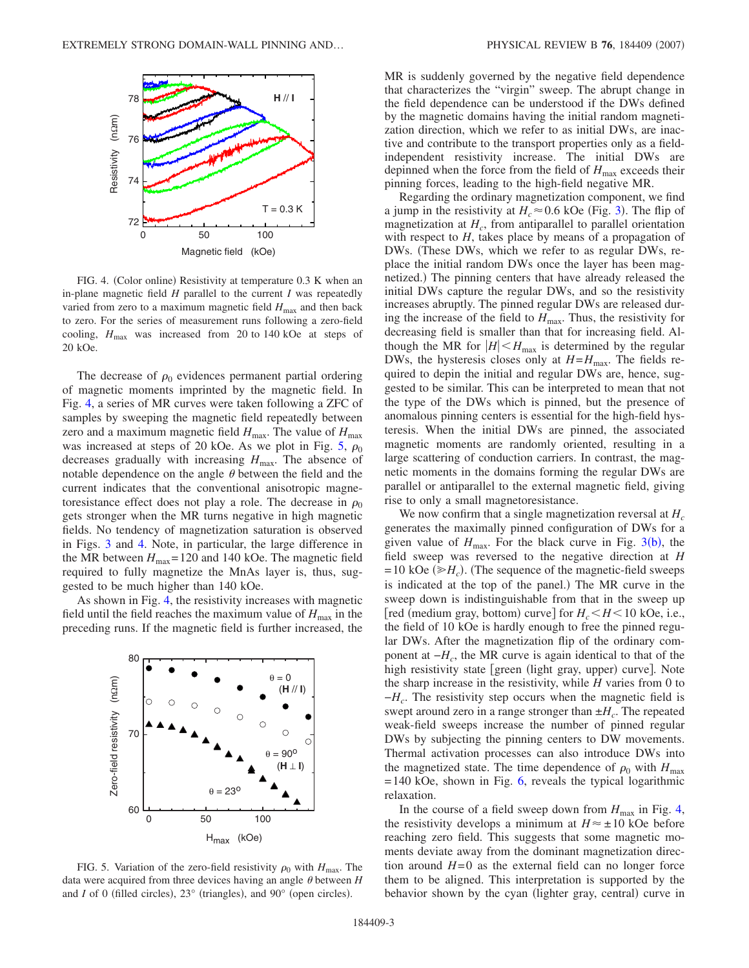<span id="page-2-0"></span>

FIG. 4. (Color online) Resistivity at temperature 0.3 K when an in-plane magnetic field *H* parallel to the current *I* was repeatedly varied from zero to a maximum magnetic field  $H_{\text{max}}$  and then back to zero. For the series of measurement runs following a zero-field cooling,  $H_{\text{max}}$  was increased from 20 to 140 kOe at steps of 20 kOe.

The decrease of  $\rho_0$  evidences permanent partial ordering of magnetic moments imprinted by the magnetic field. In Fig. [4,](#page-2-0) a series of MR curves were taken following a ZFC of samples by sweeping the magnetic field repeatedly between zero and a maximum magnetic field  $H_{\text{max}}$ . The value of  $H_{\text{max}}$ was increased at steps of 20 kOe. As we plot in Fig. [5,](#page-2-1)  $\rho_0$ decreases gradually with increasing  $H_{\text{max}}$ . The absence of notable dependence on the angle  $\theta$  between the field and the current indicates that the conventional anisotropic magnetoresistance effect does not play a role. The decrease in  $\rho_0$ gets stronger when the MR turns negative in high magnetic fields. No tendency of magnetization saturation is observed in Figs. [3](#page-1-1) and [4.](#page-2-0) Note, in particular, the large difference in the MR between  $H_{\text{max}}$  = 120 and 140 kOe. The magnetic field required to fully magnetize the MnAs layer is, thus, suggested to be much higher than 140 kOe.

As shown in Fig. [4,](#page-2-0) the resistivity increases with magnetic field until the field reaches the maximum value of  $H_{\text{max}}$  in the preceding runs. If the magnetic field is further increased, the

<span id="page-2-1"></span>

FIG. 5. Variation of the zero-field resistivity  $\rho_0$  with  $H_{\text{max}}$ . The data were acquired from three devices having an angle  $\theta$  between  $H$ and *I* of 0 (filled circles),  $23^\circ$  (triangles), and  $90^\circ$  (open circles).

MR is suddenly governed by the negative field dependence that characterizes the "virgin" sweep. The abrupt change in the field dependence can be understood if the DWs defined by the magnetic domains having the initial random magnetization direction, which we refer to as initial DWs, are inactive and contribute to the transport properties only as a fieldindependent resistivity increase. The initial DWs are depinned when the force from the field of  $H_{\text{max}}$  exceeds their pinning forces, leading to the high-field negative MR.

Regarding the ordinary magnetization component, we find a jump in the resistivity at  $H_c \approx 0.6$  kOe (Fig. [3](#page-1-1)). The flip of magnetization at  $H_c$ , from antiparallel to parallel orientation with respect to *H*, takes place by means of a propagation of DWs. (These DWs, which we refer to as regular DWs, replace the initial random DWs once the layer has been magnetized.) The pinning centers that have already released the initial DWs capture the regular DWs, and so the resistivity increases abruptly. The pinned regular DWs are released during the increase of the field to  $H_{\text{max}}$ . Thus, the resistivity for decreasing field is smaller than that for increasing field. Although the MR for  $|H| < H_{\text{max}}$  is determined by the regular DWs, the hysteresis closes only at  $H=H_{\text{max}}$ . The fields required to depin the initial and regular DWs are, hence, suggested to be similar. This can be interpreted to mean that not the type of the DWs which is pinned, but the presence of anomalous pinning centers is essential for the high-field hysteresis. When the initial DWs are pinned, the associated magnetic moments are randomly oriented, resulting in a large scattering of conduction carriers. In contrast, the magnetic moments in the domains forming the regular DWs are parallel or antiparallel to the external magnetic field, giving rise to only a small magnetoresistance.

We now confirm that a single magnetization reversal at  $H_c$ generates the maximally pinned configuration of DWs for a given value of  $H_{\text{max}}$ . For the black curve in Fig. [3](#page-1-1)(b), the field sweep was reversed to the negative direction at *H*  $= 10$  kOe ( $\geq H_c$ ). (The sequence of the magnetic-field sweeps is indicated at the top of the panel.) The MR curve in the sweep down is indistinguishable from that in the sweep up [red (medium gray, bottom) curve] for  $H_c < H < 10$  kOe, i.e., the field of 10 kOe is hardly enough to free the pinned regular DWs. After the magnetization flip of the ordinary component at  $-H_c$ , the MR curve is again identical to that of the high resistivity state [green (light gray, upper) curve]. Note the sharp increase in the resistivity, while *H* varies from 0 to −*Hc*. The resistivity step occurs when the magnetic field is swept around zero in a range stronger than  $\pm H_c$ . The repeated weak-field sweeps increase the number of pinned regular DWs by subjecting the pinning centers to DW movements. Thermal activation processes can also introduce DWs into the magnetized state. The time dependence of  $\rho_0$  with  $H_{\text{max}}$ = 140 kOe, shown in Fig. [6,](#page-3-0) reveals the typical logarithmic relaxation.

In the course of a field sweep down from  $H_{\text{max}}$  in Fig. [4,](#page-2-0) the resistivity develops a minimum at  $H \approx \pm 10$  kOe before reaching zero field. This suggests that some magnetic moments deviate away from the dominant magnetization direction around  $H=0$  as the external field can no longer force them to be aligned. This interpretation is supported by the behavior shown by the cyan (lighter gray, central) curve in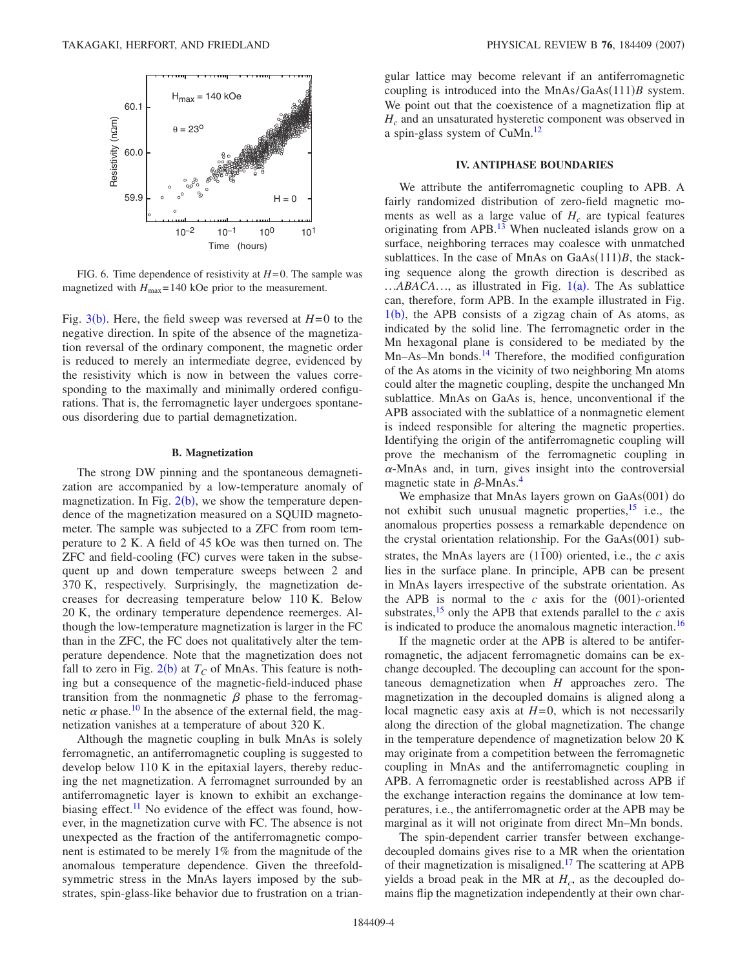<span id="page-3-0"></span>

FIG. 6. Time dependence of resistivity at *H*= 0. The sample was magnetized with  $H_{\text{max}}$  = 140 kOe prior to the measurement.

Fig.  $3(b)$  $3(b)$ . Here, the field sweep was reversed at  $H=0$  to the negative direction. In spite of the absence of the magnetization reversal of the ordinary component, the magnetic order is reduced to merely an intermediate degree, evidenced by the resistivity which is now in between the values corresponding to the maximally and minimally ordered configurations. That is, the ferromagnetic layer undergoes spontaneous disordering due to partial demagnetization.

#### **B. Magnetization**

The strong DW pinning and the spontaneous demagnetization are accompanied by a low-temperature anomaly of magnetization. In Fig.  $2(b)$  $2(b)$ , we show the temperature dependence of the magnetization measured on a SQUID magnetometer. The sample was subjected to a ZFC from room temperature to 2 K. A field of 45 kOe was then turned on. The ZFC and field-cooling (FC) curves were taken in the subsequent up and down temperature sweeps between 2 and 370 K, respectively. Surprisingly, the magnetization decreases for decreasing temperature below 110 K. Below 20 K, the ordinary temperature dependence reemerges. Although the low-temperature magnetization is larger in the FC than in the ZFC, the FC does not qualitatively alter the temperature dependence. Note that the magnetization does not fall to zero in Fig.  $2(b)$  $2(b)$  at  $T_C$  of MnAs. This feature is nothing but a consequence of the magnetic-field-induced phase transition from the nonmagnetic  $\beta$  phase to the ferromagnetic  $\alpha$  phase.<sup>10</sup> In the absence of the external field, the magnetization vanishes at a temperature of about 320 K.

Although the magnetic coupling in bulk MnAs is solely ferromagnetic, an antiferromagnetic coupling is suggested to develop below 110 K in the epitaxial layers, thereby reducing the net magnetization. A ferromagnet surrounded by an antiferromagnetic layer is known to exhibit an exchangebiasing effect.<sup>11</sup> No evidence of the effect was found, however, in the magnetization curve with FC. The absence is not unexpected as the fraction of the antiferromagnetic component is estimated to be merely 1% from the magnitude of the anomalous temperature dependence. Given the threefoldsymmetric stress in the MnAs layers imposed by the substrates, spin-glass-like behavior due to frustration on a triangular lattice may become relevant if an antiferromagnetic coupling is introduced into the MnAs/GaAs(111)B system. We point out that the coexistence of a magnetization flip at *Hc* and an unsaturated hysteretic component was observed in a spin-glass system of CuMn[.12](#page-4-11)

## **IV. ANTIPHASE BOUNDARIES**

We attribute the antiferromagnetic coupling to APB. A fairly randomized distribution of zero-field magnetic moments as well as a large value of  $H_c$  are typical features originating from APB.<sup>13</sup> When nucleated islands grow on a surface, neighboring terraces may coalesce with unmatched sublattices. In the case of MnAs on  $GaAs(111)B$ , the stacking sequence along the growth direction is described as ...*ABACA*..., as illustrated in Fig. [1](#page-0-0)(a). The As sublattice can, therefore, form APB. In the example illustrated in Fig.  $1(b)$  $1(b)$ , the APB consists of a zigzag chain of As atoms, as indicated by the solid line. The ferromagnetic order in the Mn hexagonal plane is considered to be mediated by the Mn–As–Mn bonds.<sup>14</sup> Therefore, the modified configuration of the As atoms in the vicinity of two neighboring Mn atoms could alter the magnetic coupling, despite the unchanged Mn sublattice. MnAs on GaAs is, hence, unconventional if the APB associated with the sublattice of a nonmagnetic element is indeed responsible for altering the magnetic properties. Identifying the origin of the antiferromagnetic coupling will prove the mechanism of the ferromagnetic coupling in  $\alpha$ -MnAs and, in turn, gives insight into the controversial magnetic state in  $\beta$ -MnAs.<sup>4</sup>

We emphasize that MnAs layers grown on GaAs(001) do not exhibit such unusual magnetic properties,<sup>15</sup> i.e., the anomalous properties possess a remarkable dependence on the crystal orientation relationship. For the GaAs(001) substrates, the MnAs layers are  $(1\overline{1}00)$  oriented, i.e., the *c* axis lies in the surface plane. In principle, APB can be present in MnAs layers irrespective of the substrate orientation. As the APB is normal to the  $c$  axis for the  $(001)$ -oriented substrates,<sup>15</sup> only the APB that extends parallel to the  $c$  axis is indicated to produce the anomalous magnetic interaction.<sup>16</sup>

If the magnetic order at the APB is altered to be antiferromagnetic, the adjacent ferromagnetic domains can be exchange decoupled. The decoupling can account for the spontaneous demagnetization when *H* approaches zero. The magnetization in the decoupled domains is aligned along a local magnetic easy axis at  $H=0$ , which is not necessarily along the direction of the global magnetization. The change in the temperature dependence of magnetization below 20 K may originate from a competition between the ferromagnetic coupling in MnAs and the antiferromagnetic coupling in APB. A ferromagnetic order is reestablished across APB if the exchange interaction regains the dominance at low temperatures, i.e., the antiferromagnetic order at the APB may be marginal as it will not originate from direct Mn–Mn bonds.

The spin-dependent carrier transfer between exchangedecoupled domains gives rise to a MR when the orientation of their magnetization is misaligned.<sup>17</sup> The scattering at APB yields a broad peak in the MR at  $H_c$ , as the decoupled domains flip the magnetization independently at their own char-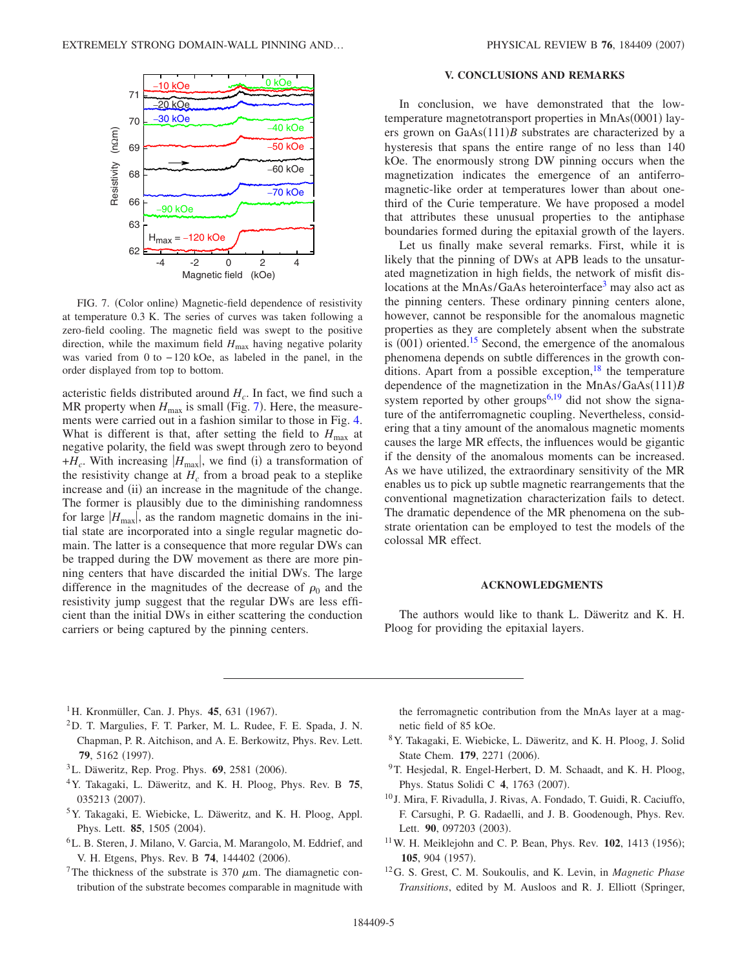<span id="page-4-12"></span>

FIG. 7. (Color online) Magnetic-field dependence of resistivity at temperature 0.3 K. The series of curves was taken following a zero-field cooling. The magnetic field was swept to the positive direction, while the maximum field  $H_{\text{max}}$  having negative polarity was varied from 0 to − 120 kOe, as labeled in the panel, in the order displayed from top to bottom.

acteristic fields distributed around  $H_c$ . In fact, we find such a MR property when  $H_{\text{max}}$  is small (Fig. [7](#page-4-12)). Here, the measurements were carried out in a fashion similar to those in Fig. [4.](#page-2-0) What is different is that, after setting the field to  $H_{\text{max}}$  at negative polarity, the field was swept through zero to beyond  $+H_c$ . With increasing  $|H_{\text{max}}|$ , we find (i) a transformation of the resistivity change at  $H_c$  from a broad peak to a steplike increase and (ii) an increase in the magnitude of the change. The former is plausibly due to the diminishing randomness for large  $|H_{\text{max}}|$ , as the random magnetic domains in the initial state are incorporated into a single regular magnetic domain. The latter is a consequence that more regular DWs can be trapped during the DW movement as there are more pinning centers that have discarded the initial DWs. The large difference in the magnitudes of the decrease of  $\rho_0$  and the resistivity jump suggest that the regular DWs are less efficient than the initial DWs in either scattering the conduction carriers or being captured by the pinning centers.

# **V. CONCLUSIONS AND REMARKS**

In conclusion, we have demonstrated that the lowtemperature magnetotransport properties in MnAs(0001) layers grown on  $GaAs(111)B$  substrates are characterized by a hysteresis that spans the entire range of no less than 140 kOe. The enormously strong DW pinning occurs when the magnetization indicates the emergence of an antiferromagnetic-like order at temperatures lower than about onethird of the Curie temperature. We have proposed a model that attributes these unusual properties to the antiphase boundaries formed during the epitaxial growth of the layers.

Let us finally make several remarks. First, while it is likely that the pinning of DWs at APB leads to the unsaturated magnetization in high fields, the network of misfit dislocations at the MnAs/GaAs heterointerface<sup>3</sup> may also act as the pinning centers. These ordinary pinning centers alone, however, cannot be responsible for the anomalous magnetic properties as they are completely absent when the substrate is (001) oriented.<sup>15</sup> Second, the emergence of the anomalous phenomena depends on subtle differences in the growth conditions. Apart from a possible exception,  $18$  the temperature dependence of the magnetization in the MnAs/GaAs(111)*B* system reported by other groups<sup>6,[19](#page-5-6)</sup> did not show the signature of the antiferromagnetic coupling. Nevertheless, considering that a tiny amount of the anomalous magnetic moments causes the large MR effects, the influences would be gigantic if the density of the anomalous moments can be increased. As we have utilized, the extraordinary sensitivity of the MR enables us to pick up subtle magnetic rearrangements that the conventional magnetization characterization fails to detect. The dramatic dependence of the MR phenomena on the substrate orientation can be employed to test the models of the colossal MR effect.

#### **ACKNOWLEDGMENTS**

The authors would like to thank L. Däweritz and K. H. Ploog for providing the epitaxial layers.

- <span id="page-4-0"></span><sup>1</sup>H. Kronmüller, Can. J. Phys. **45**, 631 (1967).
- <span id="page-4-1"></span>2D. T. Margulies, F. T. Parker, M. L. Rudee, F. E. Spada, J. N. Chapman, P. R. Aitchison, and A. E. Berkowitz, Phys. Rev. Lett. 79, 5162 (1997).
- <span id="page-4-2"></span><sup>3</sup>L. Däweritz, Rep. Prog. Phys. 69, 2581 (2006).
- <span id="page-4-3"></span>4Y. Takagaki, L. Däweritz, and K. H. Ploog, Phys. Rev. B **75**, 035213 (2007).
- <span id="page-4-4"></span>5Y. Takagaki, E. Wiebicke, L. Däweritz, and K. H. Ploog, Appl. Phys. Lett. **85**, 1505 (2004).
- <span id="page-4-5"></span>6L. B. Steren, J. Milano, V. Garcia, M. Marangolo, M. Eddrief, and V. H. Etgens, Phys. Rev. B 74, 144402 (2006).
- <span id="page-4-6"></span><sup>7</sup>The thickness of the substrate is 370  $\mu$ m. The diamagnetic contribution of the substrate becomes comparable in magnitude with

the ferromagnetic contribution from the MnAs layer at a magnetic field of 85 kOe.

- <span id="page-4-7"></span>8Y. Takagaki, E. Wiebicke, L. Däweritz, and K. H. Ploog, J. Solid State Chem. 179, 2271 (2006).
- <span id="page-4-8"></span><sup>9</sup>T. Hesjedal, R. Engel-Herbert, D. M. Schaadt, and K. H. Ploog, Phys. Status Solidi C 4, 1763 (2007).
- <span id="page-4-9"></span><sup>10</sup> J. Mira, F. Rivadulla, J. Rivas, A. Fondado, T. Guidi, R. Caciuffo, F. Carsughi, P. G. Radaelli, and J. B. Goodenough, Phys. Rev. Lett. 90, 097203 (2003).
- <span id="page-4-10"></span><sup>11</sup> W. H. Meiklejohn and C. P. Bean, Phys. Rev. **102**, 1413 (1956); 105, 904 (1957).
- <span id="page-4-11"></span>12G. S. Grest, C. M. Soukoulis, and K. Levin, in *Magnetic Phase Transitions*, edited by M. Ausloos and R. J. Elliott (Springer,